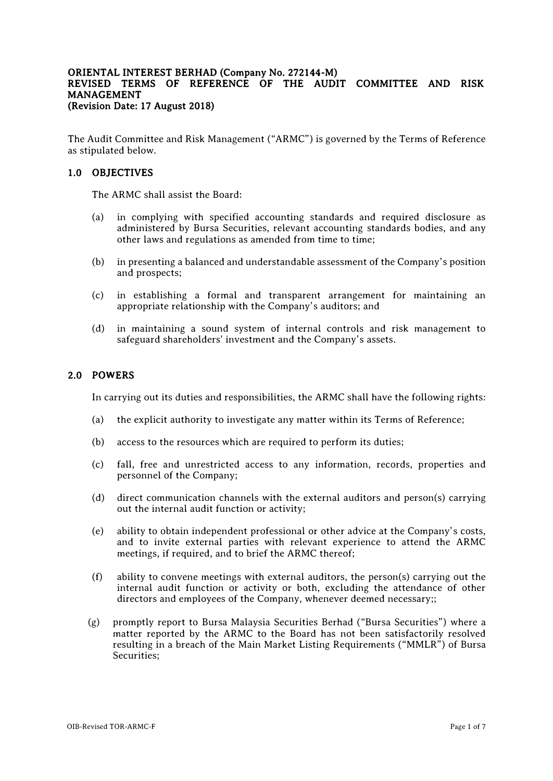### ORIENTAL INTEREST BERHAD (Company No. 272144-M) REVISED TERMS OF REFERENCE OF THE AUDIT COMMITTEE AND RISK MANAGEMENT (Revision Date: 17 August 2018)

The Audit Committee and Risk Management ("ARMC") is governed by the Terms of Reference as stipulated below.

## 1.0 OBJECTIVES

The ARMC shall assist the Board:

- (a) in complying with specified accounting standards and required disclosure as administered by Bursa Securities, relevant accounting standards bodies, and any other laws and regulations as amended from time to time;
- (b) in presenting a balanced and understandable assessment of the Company's position and prospects;
- (c) in establishing a formal and transparent arrangement for maintaining an appropriate relationship with the Company's auditors; and
- (d) in maintaining a sound system of internal controls and risk management to safeguard shareholders' investment and the Company's assets.

# 2.0 POWERS

In carrying out its duties and responsibilities, the ARMC shall have the following rights:

- (a) the explicit authority to investigate any matter within its Terms of Reference;
- (b) access to the resources which are required to perform its duties;
- (c) fall, free and unrestricted access to any information, records, properties and personnel of the Company;
- (d) direct communication channels with the external auditors and person(s) carrying out the internal audit function or activity;
- (e) ability to obtain independent professional or other advice at the Company's costs, and to invite external parties with relevant experience to attend the ARMC meetings, if required, and to brief the ARMC thereof;
- (f) ability to convene meetings with external auditors, the person(s) carrying out the internal audit function or activity or both, excluding the attendance of other directors and employees of the Company, whenever deemed necessary;;
- (g) promptly report to Bursa Malaysia Securities Berhad ("Bursa Securities") where a matter reported by the ARMC to the Board has not been satisfactorily resolved resulting in a breach of the Main Market Listing Requirements ("MMLR") of Bursa Securities;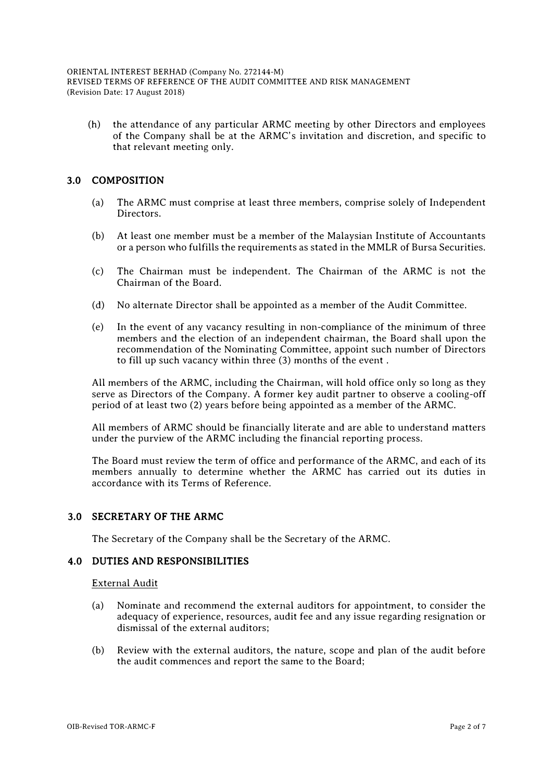ORIENTAL INTEREST BERHAD (Company No. 272144-M) REVISED TERMS OF REFERENCE OF THE AUDIT COMMITTEE AND RISK MANAGEMENT (Revision Date: 17 August 2018)

(h) the attendance of any particular ARMC meeting by other Directors and employees of the Company shall be at the ARMC's invitation and discretion, and specific to that relevant meeting only.

## 3.0 COMPOSITION

- (a) The ARMC must comprise at least three members, comprise solely of Independent Directors.
- (b) At least one member must be a member of the Malaysian Institute of Accountants or a person who fulfills the requirements as stated in the MMLR of Bursa Securities.
- (c) The Chairman must be independent. The Chairman of the ARMC is not the Chairman of the Board.
- (d) No alternate Director shall be appointed as a member of the Audit Committee.
- (e) In the event of any vacancy resulting in non-compliance of the minimum of three members and the election of an independent chairman, the Board shall upon the recommendation of the Nominating Committee, appoint such number of Directors to fill up such vacancy within three (3) months of the event .

All members of the ARMC, including the Chairman, will hold office only so long as they serve as Directors of the Company. A former key audit partner to observe a cooling-off period of at least two (2) years before being appointed as a member of the ARMC.

All members of ARMC should be financially literate and are able to understand matters under the purview of the ARMC including the financial reporting process.

The Board must review the term of office and performance of the ARMC, and each of its members annually to determine whether the ARMC has carried out its duties in accordance with its Terms of Reference.

## 3.0 SECRETARY OF THE ARMC

The Secretary of the Company shall be the Secretary of the ARMC.

## 4.0 DUTIES AND RESPONSIBILITIES

### External Audit

- (a) Nominate and recommend the external auditors for appointment, to consider the adequacy of experience, resources, audit fee and any issue regarding resignation or dismissal of the external auditors;
- (b) Review with the external auditors, the nature, scope and plan of the audit before the audit commences and report the same to the Board;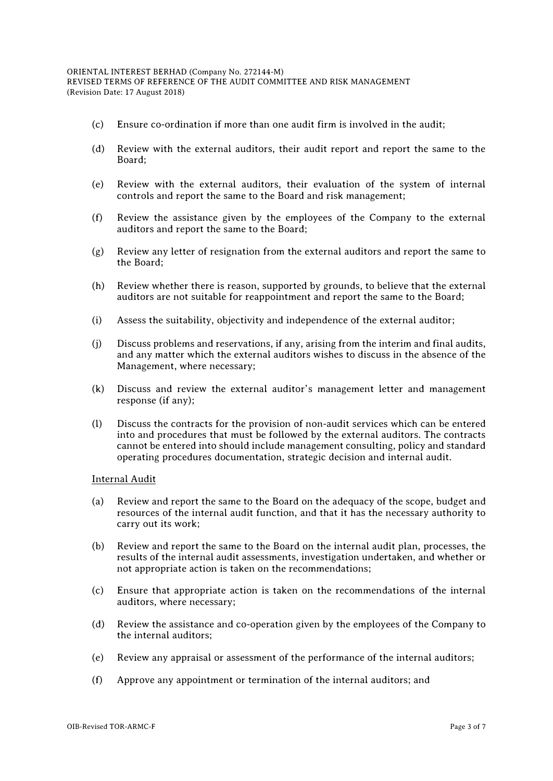### ORIENTAL INTEREST BERHAD (Company No. 272144-M)

REVISED TERMS OF REFERENCE OF THE AUDIT COMMITTEE AND RISK MANAGEMENT (Revision Date: 17 August 2018)

- (c) Ensure co-ordination if more than one audit firm is involved in the audit;
- (d) Review with the external auditors, their audit report and report the same to the Board;
- (e) Review with the external auditors, their evaluation of the system of internal controls and report the same to the Board and risk management;
- (f) Review the assistance given by the employees of the Company to the external auditors and report the same to the Board;
- (g) Review any letter of resignation from the external auditors and report the same to the Board;
- (h) Review whether there is reason, supported by grounds, to believe that the external auditors are not suitable for reappointment and report the same to the Board;
- (i) Assess the suitability, objectivity and independence of the external auditor;
- (j) Discuss problems and reservations, if any, arising from the interim and final audits, and any matter which the external auditors wishes to discuss in the absence of the Management, where necessary;
- (k) Discuss and review the external auditor's management letter and management response (if any);
- (l) Discuss the contracts for the provision of non-audit services which can be entered into and procedures that must be followed by the external auditors. The contracts cannot be entered into should include management consulting, policy and standard operating procedures documentation, strategic decision and internal audit.

### Internal Audit

- (a) Review and report the same to the Board on the adequacy of the scope, budget and resources of the internal audit function, and that it has the necessary authority to carry out its work;
- (b) Review and report the same to the Board on the internal audit plan, processes, the results of the internal audit assessments, investigation undertaken, and whether or not appropriate action is taken on the recommendations;
- (c) Ensure that appropriate action is taken on the recommendations of the internal auditors, where necessary;
- (d) Review the assistance and co-operation given by the employees of the Company to the internal auditors;
- (e) Review any appraisal or assessment of the performance of the internal auditors;
- (f) Approve any appointment or termination of the internal auditors; and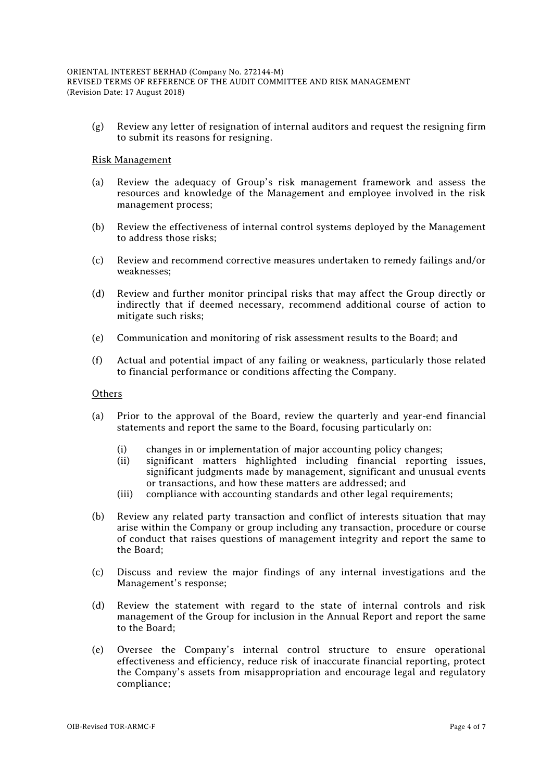#### ORIENTAL INTEREST BERHAD (Company No. 272144-M) REVISED TERMS OF REFERENCE OF THE AUDIT COMMITTEE AND RISK MANAGEMENT

(Revision Date: 17 August 2018)

(g) Review any letter of resignation of internal auditors and request the resigning firm to submit its reasons for resigning.

## Risk Management

- (a) Review the adequacy of Group's risk management framework and assess the resources and knowledge of the Management and employee involved in the risk management process;
- (b) Review the effectiveness of internal control systems deployed by the Management to address those risks;
- (c) Review and recommend corrective measures undertaken to remedy failings and/or weaknesses;
- (d) Review and further monitor principal risks that may affect the Group directly or indirectly that if deemed necessary, recommend additional course of action to mitigate such risks;
- (e) Communication and monitoring of risk assessment results to the Board; and
- (f) Actual and potential impact of any failing or weakness, particularly those related to financial performance or conditions affecting the Company.

### **Others**

- (a) Prior to the approval of the Board, review the quarterly and year-end financial statements and report the same to the Board, focusing particularly on:
	- (i) changes in or implementation of major accounting policy changes;
	- (ii) significant matters highlighted including financial reporting issues, significant judgments made by management, significant and unusual events or transactions, and how these matters are addressed; and
	- (iii) compliance with accounting standards and other legal requirements;
- (b) Review any related party transaction and conflict of interests situation that may arise within the Company or group including any transaction, procedure or course of conduct that raises questions of management integrity and report the same to the Board;
- (c) Discuss and review the major findings of any internal investigations and the Management's response;
- (d) Review the statement with regard to the state of internal controls and risk management of the Group for inclusion in the Annual Report and report the same to the Board;
- (e) Oversee the Company's internal control structure to ensure operational effectiveness and efficiency, reduce risk of inaccurate financial reporting, protect the Company's assets from misappropriation and encourage legal and regulatory compliance;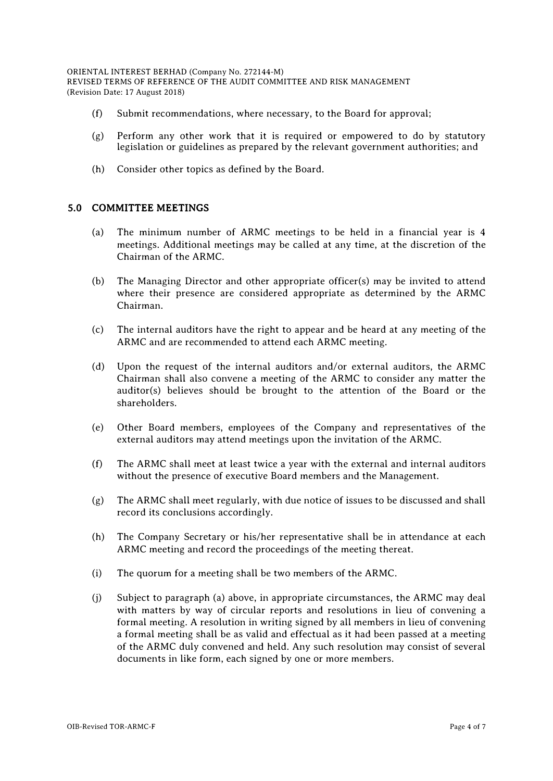ORIENTAL INTEREST BERHAD (Company No. 272144-M) REVISED TERMS OF REFERENCE OF THE AUDIT COMMITTEE AND RISK MANAGEMENT (Revision Date: 17 August 2018)

- (f) Submit recommendations, where necessary, to the Board for approval;
- (g) Perform any other work that it is required or empowered to do by statutory legislation or guidelines as prepared by the relevant government authorities; and
- (h) Consider other topics as defined by the Board.

## 5.0 COMMITTEE MEETINGS

- (a) The minimum number of ARMC meetings to be held in a financial year is 4 meetings. Additional meetings may be called at any time, at the discretion of the Chairman of the ARMC.
- (b) The Managing Director and other appropriate officer(s) may be invited to attend where their presence are considered appropriate as determined by the ARMC Chairman.
- (c) The internal auditors have the right to appear and be heard at any meeting of the ARMC and are recommended to attend each ARMC meeting.
- (d) Upon the request of the internal auditors and/or external auditors, the ARMC Chairman shall also convene a meeting of the ARMC to consider any matter the auditor(s) believes should be brought to the attention of the Board or the shareholders.
- (e) Other Board members, employees of the Company and representatives of the external auditors may attend meetings upon the invitation of the ARMC.
- (f) The ARMC shall meet at least twice a year with the external and internal auditors without the presence of executive Board members and the Management.
- (g) The ARMC shall meet regularly, with due notice of issues to be discussed and shall record its conclusions accordingly.
- (h) The Company Secretary or his/her representative shall be in attendance at each ARMC meeting and record the proceedings of the meeting thereat.
- (i) The quorum for a meeting shall be two members of the ARMC.
- (j) Subject to paragraph (a) above, in appropriate circumstances, the ARMC may deal with matters by way of circular reports and resolutions in lieu of convening a formal meeting. A resolution in writing signed by all members in lieu of convening a formal meeting shall be as valid and effectual as it had been passed at a meeting of the ARMC duly convened and held. Any such resolution may consist of several documents in like form, each signed by one or more members.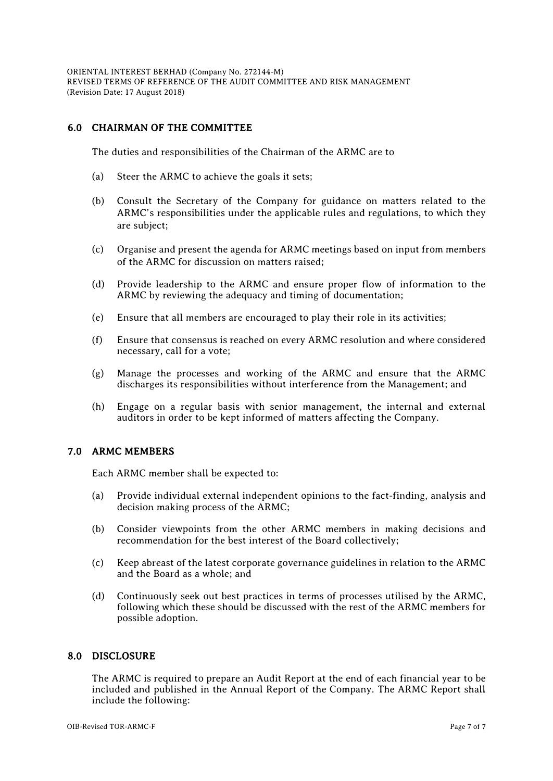ORIENTAL INTEREST BERHAD (Company No. 272144-M) REVISED TERMS OF REFERENCE OF THE AUDIT COMMITTEE AND RISK MANAGEMENT (Revision Date: 17 August 2018)

# 6.0 CHAIRMAN OF THE COMMITTEE

The duties and responsibilities of the Chairman of the ARMC are to

- (a) Steer the ARMC to achieve the goals it sets;
- (b) Consult the Secretary of the Company for guidance on matters related to the ARMC's responsibilities under the applicable rules and regulations, to which they are subject;
- (c) Organise and present the agenda for ARMC meetings based on input from members of the ARMC for discussion on matters raised;
- (d) Provide leadership to the ARMC and ensure proper flow of information to the ARMC by reviewing the adequacy and timing of documentation;
- (e) Ensure that all members are encouraged to play their role in its activities;
- (f) Ensure that consensus is reached on every ARMC resolution and where considered necessary, call for a vote;
- (g) Manage the processes and working of the ARMC and ensure that the ARMC discharges its responsibilities without interference from the Management; and
- (h) Engage on a regular basis with senior management, the internal and external auditors in order to be kept informed of matters affecting the Company.

## 7.0 ARMC MEMBERS

Each ARMC member shall be expected to:

- (a) Provide individual external independent opinions to the fact-finding, analysis and decision making process of the ARMC;
- (b) Consider viewpoints from the other ARMC members in making decisions and recommendation for the best interest of the Board collectively;
- (c) Keep abreast of the latest corporate governance guidelines in relation to the ARMC and the Board as a whole; and
- (d) Continuously seek out best practices in terms of processes utilised by the ARMC, following which these should be discussed with the rest of the ARMC members for possible adoption.

# 8.0 DISCLOSURE

The ARMC is required to prepare an Audit Report at the end of each financial year to be included and published in the Annual Report of the Company. The ARMC Report shall include the following: